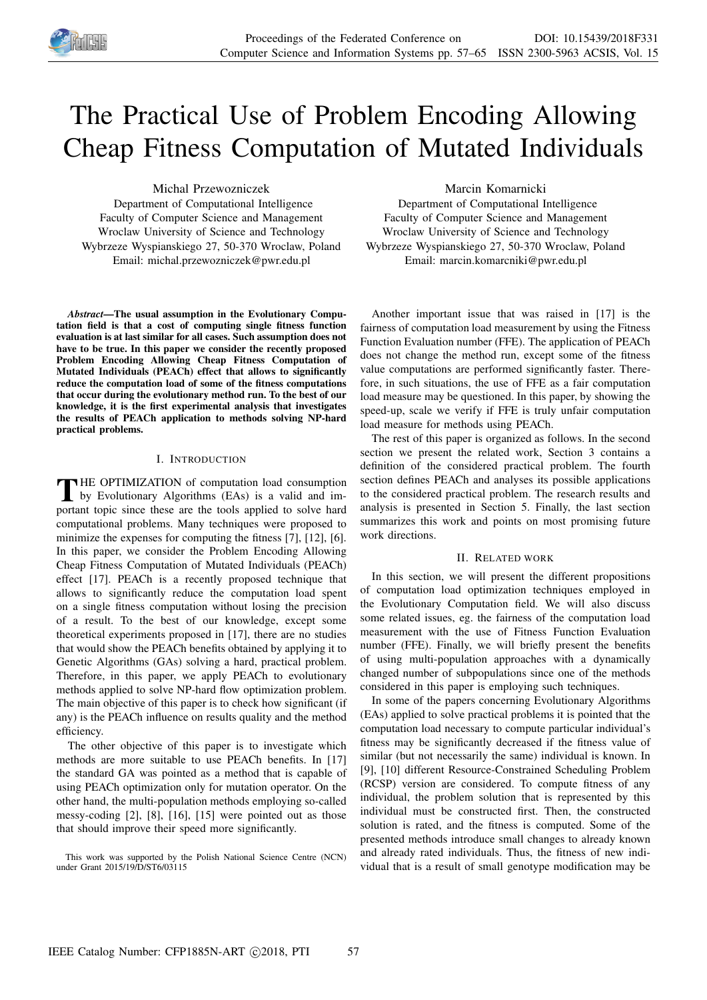

# The Practical Use of Problem Encoding Allowing Cheap Fitness Computation of Mutated Individuals

Michal Przewozniczek

Department of Computational Intelligence Faculty of Computer Science and Management Wroclaw University of Science and Technology Wybrzeze Wyspianskiego 27, 50-370 Wroclaw, Poland Email: michal.przewozniczek@pwr.edu.pl

*Abstract*—The usual assumption in the Evolutionary Computation field is that a cost of computing single fitness function evaluation is at last similar for all cases. Such assumption does not have to be true. In this paper we consider the recently proposed Problem Encoding Allowing Cheap Fitness Computation of Mutated Individuals (PEACh) effect that allows to significantly reduce the computation load of some of the fitness computations that occur during the evolutionary method run. To the best of our knowledge, it is the first experimental analysis that investigates the results of PEACh application to methods solving NP-hard practical problems.

# I. INTRODUCTION

THE OPTIMIZATION of computation load consumption<br>by Evolutionary Algorithms (EAs) is a valid and im-HE OPTIMIZATION of computation load consumption portant topic since these are the tools applied to solve hard computational problems. Many techniques were proposed to minimize the expenses for computing the fitness [7], [12], [6]. In this paper, we consider the Problem Encoding Allowing Cheap Fitness Computation of Mutated Individuals (PEACh) effect [17]. PEACh is a recently proposed technique that allows to significantly reduce the computation load spent on a single fitness computation without losing the precision of a result. To the best of our knowledge, except some theoretical experiments proposed in [17], there are no studies that would show the PEACh benefits obtained by applying it to Genetic Algorithms (GAs) solving a hard, practical problem. Therefore, in this paper, we apply PEACh to evolutionary methods applied to solve NP-hard flow optimization problem. The main objective of this paper is to check how significant (if any) is the PEACh influence on results quality and the method efficiency.

The other objective of this paper is to investigate which methods are more suitable to use PEACh benefits. In [17] the standard GA was pointed as a method that is capable of using PEACh optimization only for mutation operator. On the other hand, the multi-population methods employing so-called messy-coding [2], [8], [16], [15] were pointed out as those that should improve their speed more significantly.

This work was supported by the Polish National Science Centre (NCN) under Grant 2015/19/D/ST6/03115

Marcin Komarnicki

Department of Computational Intelligence Faculty of Computer Science and Management Wroclaw University of Science and Technology Wybrzeze Wyspianskiego 27, 50-370 Wroclaw, Poland Email: marcin.komarcniki@pwr.edu.pl

Another important issue that was raised in [17] is the fairness of computation load measurement by using the Fitness Function Evaluation number (FFE). The application of PEACh does not change the method run, except some of the fitness value computations are performed significantly faster. Therefore, in such situations, the use of FFE as a fair computation load measure may be questioned. In this paper, by showing the speed-up, scale we verify if FFE is truly unfair computation load measure for methods using PEACh.

The rest of this paper is organized as follows. In the second section we present the related work, Section 3 contains a definition of the considered practical problem. The fourth section defines PEACh and analyses its possible applications to the considered practical problem. The research results and analysis is presented in Section 5. Finally, the last section summarizes this work and points on most promising future work directions.

### II. RELATED WORK

In this section, we will present the different propositions of computation load optimization techniques employed in the Evolutionary Computation field. We will also discuss some related issues, eg. the fairness of the computation load measurement with the use of Fitness Function Evaluation number (FFE). Finally, we will briefly present the benefits of using multi-population approaches with a dynamically changed number of subpopulations since one of the methods considered in this paper is employing such techniques.

In some of the papers concerning Evolutionary Algorithms (EAs) applied to solve practical problems it is pointed that the computation load necessary to compute particular individual's fitness may be significantly decreased if the fitness value of similar (but not necessarily the same) individual is known. In [9], [10] different Resource-Constrained Scheduling Problem (RCSP) version are considered. To compute fitness of any individual, the problem solution that is represented by this individual must be constructed first. Then, the constructed solution is rated, and the fitness is computed. Some of the presented methods introduce small changes to already known and already rated individuals. Thus, the fitness of new individual that is a result of small genotype modification may be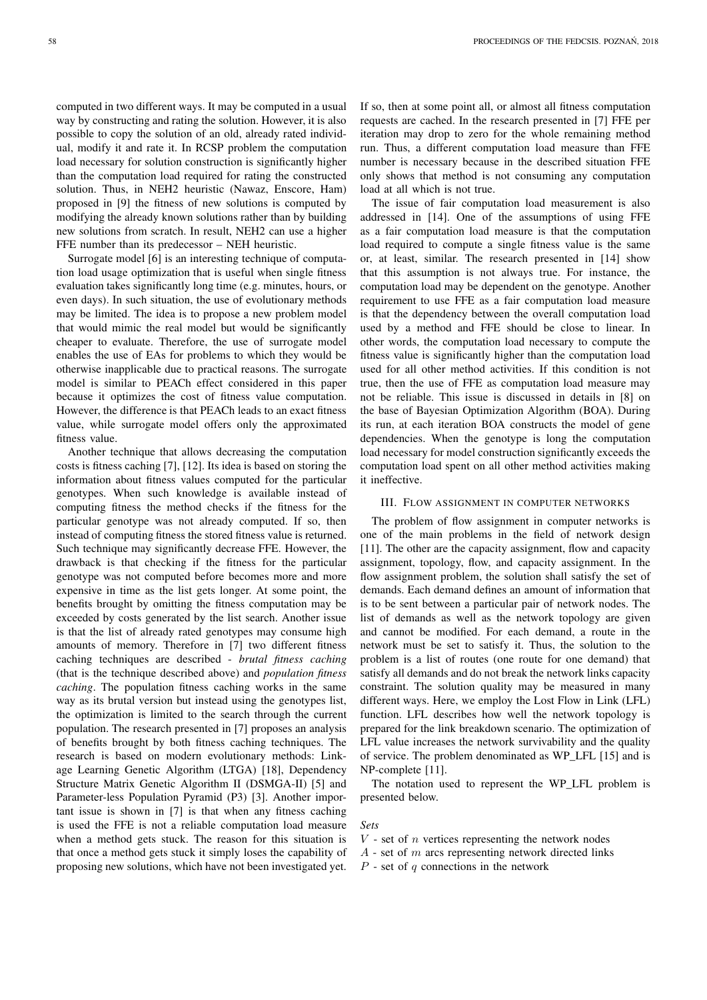computed in two different ways. It may be computed in a usual way by constructing and rating the solution. However, it is also possible to copy the solution of an old, already rated individual, modify it and rate it. In RCSP problem the computation load necessary for solution construction is significantly higher than the computation load required for rating the constructed solution. Thus, in NEH2 heuristic (Nawaz, Enscore, Ham) proposed in [9] the fitness of new solutions is computed by modifying the already known solutions rather than by building new solutions from scratch. In result, NEH2 can use a higher FFE number than its predecessor – NEH heuristic.

Surrogate model [6] is an interesting technique of computation load usage optimization that is useful when single fitness evaluation takes significantly long time (e.g. minutes, hours, or even days). In such situation, the use of evolutionary methods may be limited. The idea is to propose a new problem model that would mimic the real model but would be significantly cheaper to evaluate. Therefore, the use of surrogate model enables the use of EAs for problems to which they would be otherwise inapplicable due to practical reasons. The surrogate model is similar to PEACh effect considered in this paper because it optimizes the cost of fitness value computation. However, the difference is that PEACh leads to an exact fitness value, while surrogate model offers only the approximated fitness value.

Another technique that allows decreasing the computation costs is fitness caching [7], [12]. Its idea is based on storing the information about fitness values computed for the particular genotypes. When such knowledge is available instead of computing fitness the method checks if the fitness for the particular genotype was not already computed. If so, then instead of computing fitness the stored fitness value is returned. Such technique may significantly decrease FFE. However, the drawback is that checking if the fitness for the particular genotype was not computed before becomes more and more expensive in time as the list gets longer. At some point, the benefits brought by omitting the fitness computation may be exceeded by costs generated by the list search. Another issue is that the list of already rated genotypes may consume high amounts of memory. Therefore in [7] two different fitness caching techniques are described - *brutal fitness caching* (that is the technique described above) and *population fitness caching*. The population fitness caching works in the same way as its brutal version but instead using the genotypes list, the optimization is limited to the search through the current population. The research presented in [7] proposes an analysis of benefits brought by both fitness caching techniques. The research is based on modern evolutionary methods: Linkage Learning Genetic Algorithm (LTGA) [18], Dependency Structure Matrix Genetic Algorithm II (DSMGA-II) [5] and Parameter-less Population Pyramid (P3) [3]. Another important issue is shown in [7] is that when any fitness caching is used the FFE is not a reliable computation load measure when a method gets stuck. The reason for this situation is that once a method gets stuck it simply loses the capability of proposing new solutions, which have not been investigated yet.

If so, then at some point all, or almost all fitness computation requests are cached. In the research presented in [7] FFE per iteration may drop to zero for the whole remaining method run. Thus, a different computation load measure than FFE number is necessary because in the described situation FFE only shows that method is not consuming any computation load at all which is not true.

The issue of fair computation load measurement is also addressed in [14]. One of the assumptions of using FFE as a fair computation load measure is that the computation load required to compute a single fitness value is the same or, at least, similar. The research presented in [14] show that this assumption is not always true. For instance, the computation load may be dependent on the genotype. Another requirement to use FFE as a fair computation load measure is that the dependency between the overall computation load used by a method and FFE should be close to linear. In other words, the computation load necessary to compute the fitness value is significantly higher than the computation load used for all other method activities. If this condition is not true, then the use of FFE as computation load measure may not be reliable. This issue is discussed in details in [8] on the base of Bayesian Optimization Algorithm (BOA). During its run, at each iteration BOA constructs the model of gene dependencies. When the genotype is long the computation load necessary for model construction significantly exceeds the computation load spent on all other method activities making it ineffective.

## III. FLOW ASSIGNMENT IN COMPUTER NETWORKS

The problem of flow assignment in computer networks is one of the main problems in the field of network design [11]. The other are the capacity assignment, flow and capacity assignment, topology, flow, and capacity assignment. In the flow assignment problem, the solution shall satisfy the set of demands. Each demand defines an amount of information that is to be sent between a particular pair of network nodes. The list of demands as well as the network topology are given and cannot be modified. For each demand, a route in the network must be set to satisfy it. Thus, the solution to the problem is a list of routes (one route for one demand) that satisfy all demands and do not break the network links capacity constraint. The solution quality may be measured in many different ways. Here, we employ the Lost Flow in Link (LFL) function. LFL describes how well the network topology is prepared for the link breakdown scenario. The optimization of LFL value increases the network survivability and the quality of service. The problem denominated as WP\_LFL [15] and is NP-complete [11].

The notation used to represent the WP\_LFL problem is presented below.

#### *Sets*

 $V$  - set of  $n$  vertices representing the network nodes

 $A$  - set of m arcs representing network directed links

 $P$  - set of  $q$  connections in the network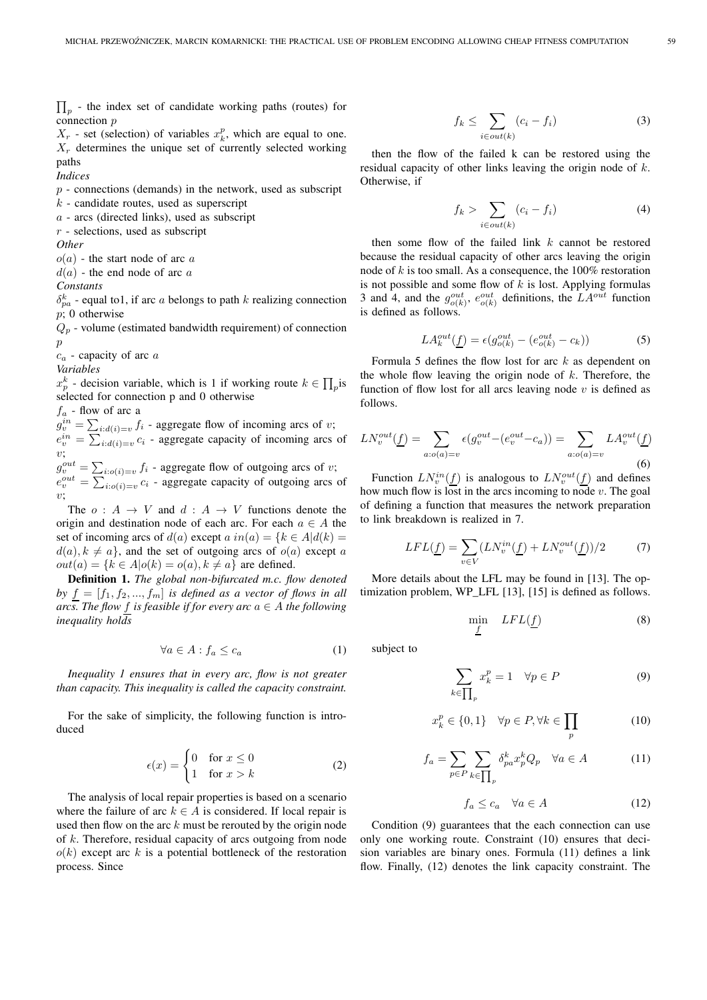$\prod_p$  - the index set of candidate working paths (routes) for connection p

 $X_r$  - set (selection) of variables  $x_k^p$ , which are equal to one.  $X_r$  determines the unique set of currently selected working paths

*Indices*

 $p$  - connections (demands) in the network, used as subscript

 $k$  - candidate routes, used as superscript

 $a$  - arcs (directed links), used as subscript

 $r$  - selections, used as subscript

*Other*

 $o(a)$  - the start node of arc a

 $d(a)$  - the end node of arc a

*Constants*

 $\delta_{pa}^k$  - equal to1, if arc *a* belongs to path *k* realizing connection  $p$ ; 0 otherwise

 $Q_p$  - volume (estimated bandwidth requirement) of connection p

 $c_a$  - capacity of arc  $a$ 

*Variables*

 $x_p^k$  - decision variable, which is 1 if working route  $k \in \prod_p$ is selected for connection p and 0 otherwise

 $f_a$  - flow of arc a  $g_v^{in} = \sum_{i:d(i)=v} f_i$  - aggregate flow of incoming arcs of v;  $e_v^{in} = \sum_{i:d(i)=v} c_i$  - aggregate capacity of incoming arcs of  $v:$  $g_v^{out} = \sum_{i: o(i)=v} f_i$  - aggregate flow of outgoing arcs of v;  $e_v^{out} = \sum_{i: o(i)=v} c_i$  - aggregate capacity of outgoing arcs of

v; The  $o: A \rightarrow V$  and  $d: A \rightarrow V$  functions denote the origin and destination node of each arc. For each  $a \in A$  the set of incoming arcs of  $d(a)$  except  $a$   $in(a) = \{k \in A | d(k) =$  $d(a), k \neq a$ , and the set of outgoing arcs of  $o(a)$  except a  $out(a) = \{k \in A | o(k) = o(a), k \neq a\}$  are defined.

Definition 1. *The global non-bifurcated m.c. flow denoted* by  $f = [f_1, f_2, ..., f_m]$  *is defined as a vector of flows in all arcs. The flow f is feasible if for every arc*  $a \in A$  *the following inequality holds*

$$
\forall a \in A : f_a \le c_a \tag{1}
$$

*Inequality 1 ensures that in every arc, flow is not greater than capacity. This inequality is called the capacity constraint.*

For the sake of simplicity, the following function is introduced

$$
\epsilon(x) = \begin{cases} 0 & \text{for } x \le 0 \\ 1 & \text{for } x > k \end{cases}
$$
 (2)

The analysis of local repair properties is based on a scenario where the failure of arc  $k \in A$  is considered. If local repair is used then flow on the arc  $k$  must be rerouted by the origin node of k. Therefore, residual capacity of arcs outgoing from node  $o(k)$  except arc k is a potential bottleneck of the restoration process. Since

$$
f_k \le \sum_{i \in out(k)} (c_i - f_i) \tag{3}
$$

then the flow of the failed k can be restored using the residual capacity of other links leaving the origin node of k. Otherwise, if

$$
f_k > \sum_{i \in out(k)} (c_i - f_i)
$$
 (4)

then some flow of the failed link  $k$  cannot be restored because the residual capacity of other arcs leaving the origin node of  $k$  is too small. As a consequence, the 100% restoration is not possible and some flow of  $k$  is lost. Applying formulas 3 and 4, and the  $g_{o(k)}^{out}$ ,  $e_{o(k)}^{out}$  definitions, the  $LA^{out}$  function is defined as follows.

$$
LA_k^{out}(\underline{f}) = \epsilon(g_{o(k)}^{out} - (e_{o(k)}^{out} - c_k))
$$
\n(5)

Formula 5 defines the flow lost for arc  $k$  as dependent on the whole flow leaving the origin node of  $k$ . Therefore, the function of flow lost for all arcs leaving node  $v$  is defined as follows.

$$
LN_v^{out}(\underline{f}) = \sum_{a: o(a) = v} \epsilon(g_v^{out} - (e_v^{out} - c_a)) = \sum_{a: o(a) = v} LA_v^{out}(\underline{f})
$$
\n(6)

Function  $LN_v^{in}(\underline{f})$  is analogous to  $LN_v^{out}(\underline{f})$  and defines how much flow is lost in the arcs incoming to node  $v$ . The goal of defining a function that measures the network preparation to link breakdown is realized in 7.

$$
LFL(\underline{f}) = \sum_{v \in V} (LN_v^{in}(\underline{f}) + LN_v^{out}(\underline{f}))/2 \tag{7}
$$

More details about the LFL may be found in [13]. The optimization problem, WP\_LFL [13], [15] is defined as follows.

$$
\min_{f} LFL(\underline{f}) \tag{8}
$$

subject to

$$
\sum_{k \in \prod_{p} x_k^p = 1 \quad \forall p \in P \tag{9}
$$

$$
x_k^p \in \{0, 1\} \quad \forall p \in P, \forall k \in \prod_p \tag{10}
$$

$$
f_a = \sum_{p \in P} \sum_{k \in \prod_p} \delta_{pa}^k x_p^k Q_p \quad \forall a \in A \tag{11}
$$

$$
f_a \le c_a \quad \forall a \in A \tag{12}
$$

Condition (9) guarantees that the each connection can use only one working route. Constraint (10) ensures that decision variables are binary ones. Formula (11) defines a link flow. Finally, (12) denotes the link capacity constraint. The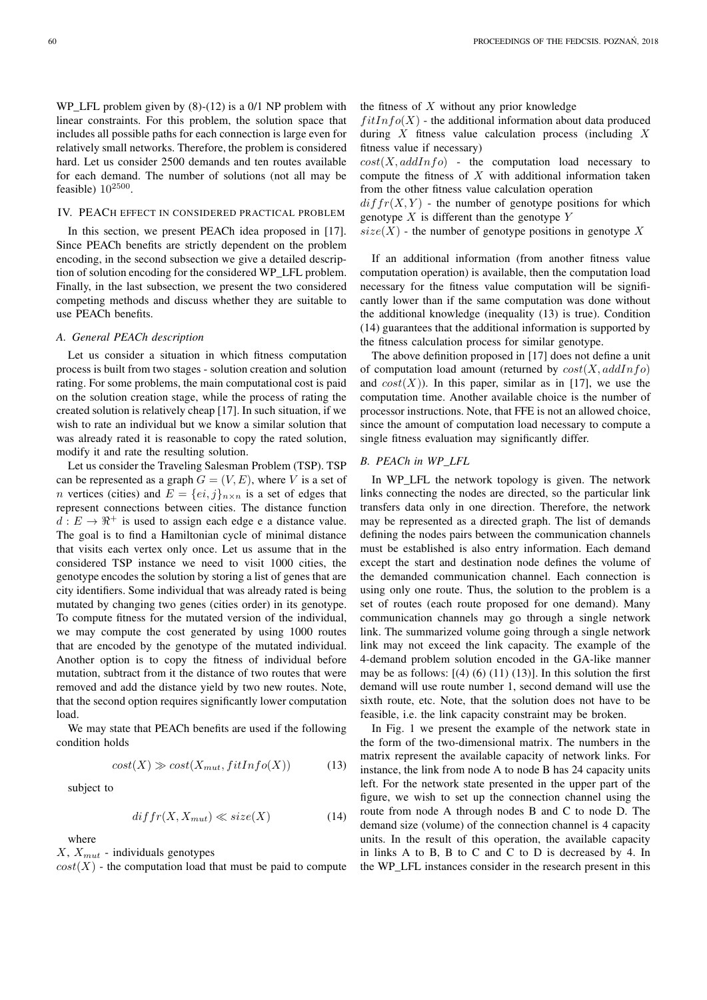WP\_LFL problem given by  $(8)-(12)$  is a 0/1 NP problem with linear constraints. For this problem, the solution space that includes all possible paths for each connection is large even for relatively small networks. Therefore, the problem is considered hard. Let us consider 2500 demands and ten routes available for each demand. The number of solutions (not all may be feasible)  $10^{2500}$ .

# IV. PEACH EFFECT IN CONSIDERED PRACTICAL PROBLEM

In this section, we present PEACh idea proposed in [17]. Since PEACh benefits are strictly dependent on the problem encoding, in the second subsection we give a detailed description of solution encoding for the considered WP\_LFL problem. Finally, in the last subsection, we present the two considered competing methods and discuss whether they are suitable to use PEACh benefits.

# *A. General PEACh description*

Let us consider a situation in which fitness computation process is built from two stages - solution creation and solution rating. For some problems, the main computational cost is paid on the solution creation stage, while the process of rating the created solution is relatively cheap [17]. In such situation, if we wish to rate an individual but we know a similar solution that was already rated it is reasonable to copy the rated solution, modify it and rate the resulting solution.

Let us consider the Traveling Salesman Problem (TSP). TSP can be represented as a graph  $G = (V, E)$ , where V is a set of *n* vertices (cities) and  $E = \{ei, j\}_{n \times n}$  is a set of edges that represent connections between cities. The distance function  $d: E \to \mathbb{R}^+$  is used to assign each edge e a distance value. The goal is to find a Hamiltonian cycle of minimal distance that visits each vertex only once. Let us assume that in the considered TSP instance we need to visit 1000 cities, the genotype encodes the solution by storing a list of genes that are city identifiers. Some individual that was already rated is being mutated by changing two genes (cities order) in its genotype. To compute fitness for the mutated version of the individual, we may compute the cost generated by using 1000 routes that are encoded by the genotype of the mutated individual. Another option is to copy the fitness of individual before mutation, subtract from it the distance of two routes that were removed and add the distance yield by two new routes. Note, that the second option requires significantly lower computation load.

We may state that PEACh benefits are used if the following condition holds

$$
cost(X) \gg cost(X_{mut}, fitInfo(X))
$$
 (13)

subject to

$$
diffr(X, X_{mut}) \ll size(X) \tag{14}
$$

where

 $X, X_{mut}$  - individuals genotypes

 $cost(X)$  - the computation load that must be paid to compute

the fitness of  $X$  without any prior knowledge

 $fitInfo(X)$  - the additional information about data produced during  $X$  fitness value calculation process (including  $X$ fitness value if necessary)

 $cost(X, addInfo)$  - the computation load necessary to compute the fitness of  $X$  with additional information taken from the other fitness value calculation operation

 $diffr(X, Y)$  - the number of genotype positions for which genotype  $X$  is different than the genotype  $Y$ 

 $size(X)$  - the number of genotype positions in genotype X

If an additional information (from another fitness value computation operation) is available, then the computation load necessary for the fitness value computation will be significantly lower than if the same computation was done without the additional knowledge (inequality (13) is true). Condition (14) guarantees that the additional information is supported by the fitness calculation process for similar genotype.

The above definition proposed in [17] does not define a unit of computation load amount (returned by  $cost(X, addInfo)$ and  $cost(X)$ ). In this paper, similar as in [17], we use the computation time. Another available choice is the number of processor instructions. Note, that FFE is not an allowed choice, since the amount of computation load necessary to compute a single fitness evaluation may significantly differ.

# *B. PEACh in WP\_LFL*

In WP LFL the network topology is given. The network links connecting the nodes are directed, so the particular link transfers data only in one direction. Therefore, the network may be represented as a directed graph. The list of demands defining the nodes pairs between the communication channels must be established is also entry information. Each demand except the start and destination node defines the volume of the demanded communication channel. Each connection is using only one route. Thus, the solution to the problem is a set of routes (each route proposed for one demand). Many communication channels may go through a single network link. The summarized volume going through a single network link may not exceed the link capacity. The example of the 4-demand problem solution encoded in the GA-like manner may be as follows:  $[(4) (6) (11) (13)]$ . In this solution the first demand will use route number 1, second demand will use the sixth route, etc. Note, that the solution does not have to be feasible, i.e. the link capacity constraint may be broken.

In Fig. 1 we present the example of the network state in the form of the two-dimensional matrix. The numbers in the matrix represent the available capacity of network links. For instance, the link from node A to node B has 24 capacity units left. For the network state presented in the upper part of the figure, we wish to set up the connection channel using the route from node A through nodes B and C to node D. The demand size (volume) of the connection channel is 4 capacity units. In the result of this operation, the available capacity in links A to B, B to C and C to D is decreased by 4. In the WP\_LFL instances consider in the research present in this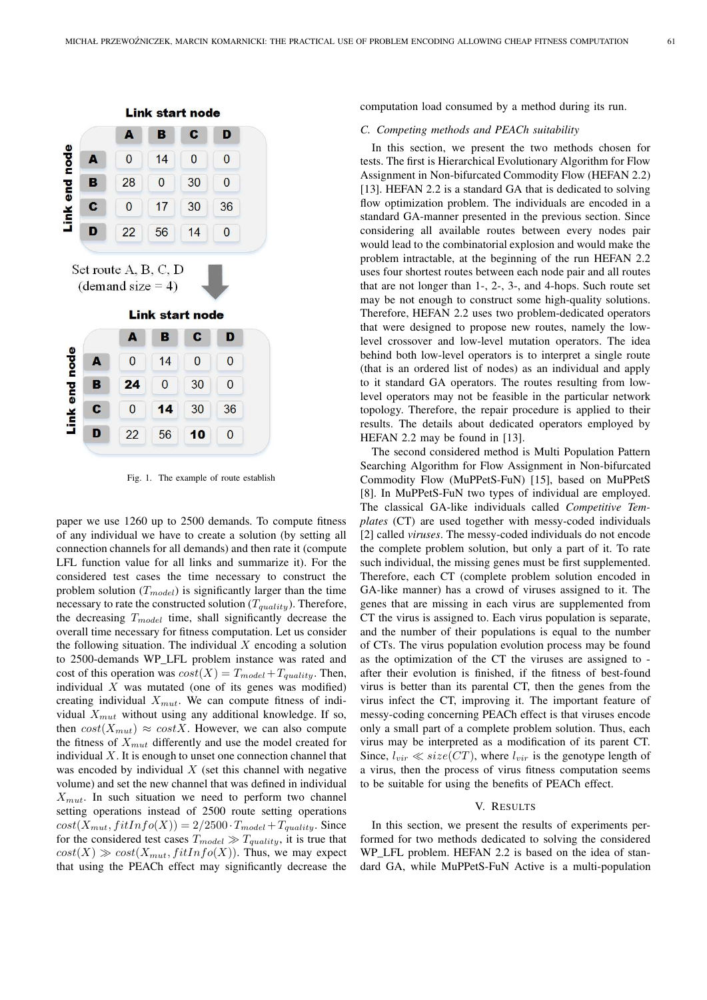

Fig. 1. The example of route establish

paper we use 1260 up to 2500 demands. To compute fitness of any individual we have to create a solution (by setting all connection channels for all demands) and then rate it (compute LFL function value for all links and summarize it). For the considered test cases the time necessary to construct the problem solution  $(T_{model})$  is significantly larger than the time necessary to rate the constructed solution  $(T_{quality})$ . Therefore, the decreasing  $T_{model}$  time, shall significantly decrease the overall time necessary for fitness computation. Let us consider the following situation. The individual  $X$  encoding a solution to 2500-demands WP\_LFL problem instance was rated and cost of this operation was  $cost(X) = T_{model} + T_{quality}$ . Then, individual  $X$  was mutated (one of its genes was modified) creating individual  $X_{mut}$ . We can compute fitness of individual  $X_{mut}$  without using any additional knowledge. If so, then  $cost(X_{mut}) \approx costX$ . However, we can also compute the fitness of  $X_{mut}$  differently and use the model created for individual  $X$ . It is enough to unset one connection channel that was encoded by individual  $X$  (set this channel with negative volume) and set the new channel that was defined in individual  $X<sub>mut</sub>$ . In such situation we need to perform two channel setting operations instead of 2500 route setting operations  $cost(X_{mut}, fitInfo(X)) = 2/2500 \cdot T_{model} + T_{quality}$ . Since for the considered test cases  $T_{model} \gg T_{quality}$ , it is true that  $cost(X) \gg cost(X_{mut}, fitInfo(X))$ . Thus, we may expect that using the PEACh effect may significantly decrease the

computation load consumed by a method during its run.

# *C. Competing methods and PEACh suitability*

In this section, we present the two methods chosen for tests. The first is Hierarchical Evolutionary Algorithm for Flow Assignment in Non-bifurcated Commodity Flow (HEFAN 2.2) [13]. HEFAN 2.2 is a standard GA that is dedicated to solving flow optimization problem. The individuals are encoded in a standard GA-manner presented in the previous section. Since considering all available routes between every nodes pair would lead to the combinatorial explosion and would make the problem intractable, at the beginning of the run HEFAN 2.2 uses four shortest routes between each node pair and all routes that are not longer than 1-, 2-, 3-, and 4-hops. Such route set may be not enough to construct some high-quality solutions. Therefore, HEFAN 2.2 uses two problem-dedicated operators that were designed to propose new routes, namely the lowlevel crossover and low-level mutation operators. The idea behind both low-level operators is to interpret a single route (that is an ordered list of nodes) as an individual and apply to it standard GA operators. The routes resulting from lowlevel operators may not be feasible in the particular network topology. Therefore, the repair procedure is applied to their results. The details about dedicated operators employed by HEFAN 2.2 may be found in [13].

The second considered method is Multi Population Pattern Searching Algorithm for Flow Assignment in Non-bifurcated Commodity Flow (MuPPetS-FuN) [15], based on MuPPetS [8]. In MuPPetS-FuN two types of individual are employed. The classical GA-like individuals called *Competitive Templates* (CT) are used together with messy-coded individuals [2] called *viruses*. The messy-coded individuals do not encode the complete problem solution, but only a part of it. To rate such individual, the missing genes must be first supplemented. Therefore, each CT (complete problem solution encoded in GA-like manner) has a crowd of viruses assigned to it. The genes that are missing in each virus are supplemented from CT the virus is assigned to. Each virus population is separate, and the number of their populations is equal to the number of CTs. The virus population evolution process may be found as the optimization of the CT the viruses are assigned to after their evolution is finished, if the fitness of best-found virus is better than its parental CT, then the genes from the virus infect the CT, improving it. The important feature of messy-coding concerning PEACh effect is that viruses encode only a small part of a complete problem solution. Thus, each virus may be interpreted as a modification of its parent CT. Since,  $l_{vir} \ll size(CT)$ , where  $l_{vir}$  is the genotype length of a virus, then the process of virus fitness computation seems to be suitable for using the benefits of PEACh effect.

# V. RESULTS

In this section, we present the results of experiments performed for two methods dedicated to solving the considered WP\_LFL problem. HEFAN 2.2 is based on the idea of standard GA, while MuPPetS-FuN Active is a multi-population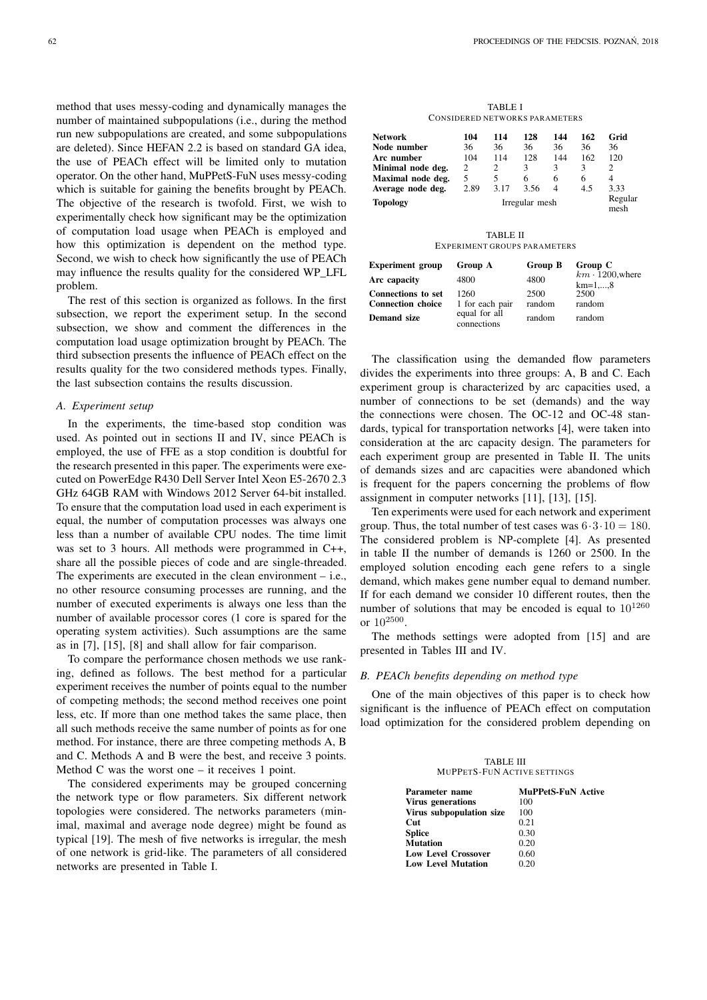method that uses messy-coding and dynamically manages the number of maintained subpopulations (i.e., during the method run new subpopulations are created, and some subpopulations are deleted). Since HEFAN 2.2 is based on standard GA idea, the use of PEACh effect will be limited only to mutation operator. On the other hand, MuPPetS-FuN uses messy-coding which is suitable for gaining the benefits brought by PEACh. The objective of the research is twofold. First, we wish to experimentally check how significant may be the optimization of computation load usage when PEACh is employed and how this optimization is dependent on the method type. Second, we wish to check how significantly the use of PEACh may influence the results quality for the considered WP\_LFL problem.

The rest of this section is organized as follows. In the first subsection, we report the experiment setup. In the second subsection, we show and comment the differences in the computation load usage optimization brought by PEACh. The third subsection presents the influence of PEACh effect on the results quality for the two considered methods types. Finally, the last subsection contains the results discussion.

## *A. Experiment setup*

In the experiments, the time-based stop condition was used. As pointed out in sections II and IV, since PEACh is employed, the use of FFE as a stop condition is doubtful for the research presented in this paper. The experiments were executed on PowerEdge R430 Dell Server Intel Xeon E5-2670 2.3 GHz 64GB RAM with Windows 2012 Server 64-bit installed. To ensure that the computation load used in each experiment is equal, the number of computation processes was always one less than a number of available CPU nodes. The time limit was set to 3 hours. All methods were programmed in C++, share all the possible pieces of code and are single-threaded. The experiments are executed in the clean environment – i.e., no other resource consuming processes are running, and the number of executed experiments is always one less than the number of available processor cores (1 core is spared for the operating system activities). Such assumptions are the same as in [7], [15], [8] and shall allow for fair comparison.

To compare the performance chosen methods we use ranking, defined as follows. The best method for a particular experiment receives the number of points equal to the number of competing methods; the second method receives one point less, etc. If more than one method takes the same place, then all such methods receive the same number of points as for one method. For instance, there are three competing methods A, B and C. Methods A and B were the best, and receive 3 points. Method C was the worst one  $-$  it receives 1 point.

The considered experiments may be grouped concerning the network type or flow parameters. Six different network topologies were considered. The networks parameters (minimal, maximal and average node degree) might be found as typical [19]. The mesh of five networks is irregular, the mesh of one network is grid-like. The parameters of all considered networks are presented in Table I.

| <b>TABLE I</b> |                                |
|----------------|--------------------------------|
|                | CONSIDERED NETWORKS PARAMETERS |

| Network           | 104  | 114  | 128            | 144 | 162 | Grid            |
|-------------------|------|------|----------------|-----|-----|-----------------|
| Node number       | 36   | 36   | 36             | 36  | 36  | 36              |
| Arc number        | 104  | 114  | 128            | 144 | 162 | 120             |
| Minimal node deg. | 2    | 2    | 3              | 3   | 3   | 2               |
| Maximal node deg. | 5    | 5    | 6              | 6   | 6   | 4               |
| Average node deg. | 2.89 | 3.17 | 3.56           | 4   | 4.5 | 3.33            |
| <b>Topology</b>   |      |      | Irregular mesh |     |     | Regular<br>mesh |
|                   |      |      |                |     |     |                 |
|                   |      |      |                |     |     |                 |

TABLE II EXPERIMENT GROUPS PARAMETERS

| <b>Experiment</b> group   | Group A                      | Group B | Group C                              |
|---------------------------|------------------------------|---------|--------------------------------------|
| Arc capacity              | 4800                         | 4800    | $km \cdot 1200$ , where<br>$km=1,,8$ |
| <b>Connections to set</b> | 1260                         | 2500    | 2500                                 |
| <b>Connection choice</b>  | 1 for each pair              | random  | random                               |
| <b>Demand size</b>        | equal for all<br>connections | random  | random                               |

The classification using the demanded flow parameters divides the experiments into three groups: A, B and C. Each experiment group is characterized by arc capacities used, a number of connections to be set (demands) and the way the connections were chosen. The OC-12 and OC-48 standards, typical for transportation networks [4], were taken into consideration at the arc capacity design. The parameters for each experiment group are presented in Table II. The units of demands sizes and arc capacities were abandoned which is frequent for the papers concerning the problems of flow assignment in computer networks [11], [13], [15].

Ten experiments were used for each network and experiment group. Thus, the total number of test cases was  $6 \cdot 3 \cdot 10 = 180$ . The considered problem is NP-complete [4]. As presented in table II the number of demands is 1260 or 2500. In the employed solution encoding each gene refers to a single demand, which makes gene number equal to demand number. If for each demand we consider 10 different routes, then the number of solutions that may be encoded is equal to  $10^{1260}$ or  $10^{2500}$ .

The methods settings were adopted from [15] and are presented in Tables III and IV.

## *B. PEACh benefits depending on method type*

One of the main objectives of this paper is to check how significant is the influence of PEACh effect on computation load optimization for the considered problem depending on

| <b>TABLE III</b>                   |  |  |  |
|------------------------------------|--|--|--|
| <b>MUPPETS-FUN ACTIVE SETTINGS</b> |  |  |  |

| Parameter name             | <b>MuPPetS-FuN Active</b> |
|----------------------------|---------------------------|
| <b>Virus generations</b>   | 100                       |
| Virus subpopulation size   | 100                       |
| Cut                        | 0.21                      |
| <b>Splice</b>              | 0.30                      |
| <b>Mutation</b>            | 0.20                      |
| <b>Low Level Crossover</b> | 0.60                      |
| <b>Low Level Mutation</b>  | 0.20                      |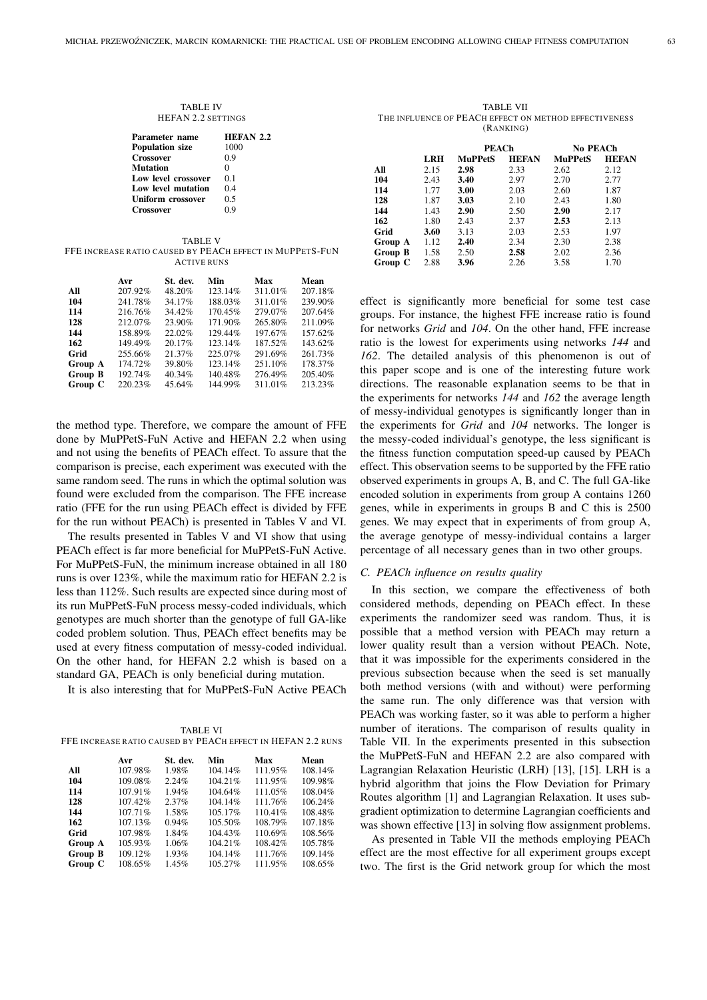#### TABLE IV HEFAN 2.2 SETTINGS

| Parameter name            | <b>HEFAN 2.2</b> |
|---------------------------|------------------|
| <b>Population size</b>    | 1000             |
| <b>Crossover</b>          | 0.9              |
| Mutation                  | 0                |
| Low level crossover       | 0 <sub>1</sub>   |
| <b>Low level mutation</b> | 04               |
| Uniform crossover         | 0.5              |
| Crossover                 | 09               |

TABLE V FFE INCREASE RATIO CAUSED BY PEACH EFFECT IN MUPPETS-FUN ACTIVE RUNS

|                | Avr     | St. dev. | Min     | Max     | Mean    |
|----------------|---------|----------|---------|---------|---------|
| All            | 207.92% | 48.20%   | 123.14% | 311.01% | 207.18% |
| 104            | 241.78% | 34.17%   | 188.03% | 311.01% | 239.90% |
| 114            | 216.76% | 34.42%   | 170.45% | 279.07% | 207.64% |
| 128            | 212.07% | 23.90%   | 171.90% | 265.80% | 211.09% |
| 144            | 158.89% | 22.02%   | 129.44% | 197.67% | 157.62% |
| 162            | 149.49% | 20.17%   | 123.14% | 187.52% | 143.62% |
| Grid           | 255.66% | 21.37%   | 225.07% | 291.69% | 261.73% |
| Group A        | 174.72% | 39.80%   | 123.14% | 251.10% | 178.37% |
| <b>Group B</b> | 192.74% | 40.34%   | 140.48% | 276.49% | 205.40% |
| Group C        | 220.23% | 45.64%   | 144.99% | 311.01% | 213.23% |

the method type. Therefore, we compare the amount of FFE done by MuPPetS-FuN Active and HEFAN 2.2 when using and not using the benefits of PEACh effect. To assure that the comparison is precise, each experiment was executed with the same random seed. The runs in which the optimal solution was found were excluded from the comparison. The FFE increase ratio (FFE for the run using PEACh effect is divided by FFE for the run without PEACh) is presented in Tables V and VI.

The results presented in Tables V and VI show that using PEACh effect is far more beneficial for MuPPetS-FuN Active. For MuPPetS-FuN, the minimum increase obtained in all 180 runs is over 123%, while the maximum ratio for HEFAN 2.2 is less than 112%. Such results are expected since during most of its run MuPPetS-FuN process messy-coded individuals, which genotypes are much shorter than the genotype of full GA-like coded problem solution. Thus, PEACh effect benefits may be used at every fitness computation of messy-coded individual. On the other hand, for HEFAN 2.2 whish is based on a standard GA, PEACh is only beneficial during mutation.

It is also interesting that for MuPPetS-FuN Active PEACh

| TABLE VI                                                    |
|-------------------------------------------------------------|
| FFE INCREASE RATIO CAUSED BY PEACH EFFECT IN HEFAN 2.2 RUNS |

|                | Avr        | St. dev. | Min     | Max      | Mean    |
|----------------|------------|----------|---------|----------|---------|
| All            | 107.98%    | 1.98%    | 104.14% | 111.95%  | 108.14% |
| 104            | 109.08%    | 2.24%    | 104.21% | 111.95%  | 109.98% |
| 114            | 107.91%    | 1.94%    | 104.64% | 111.05%  | 108.04% |
| 128            | 107.42%    | 2.37%    | 104.14% | 111.76%  | 106.24% |
| 144            | $107.71\%$ | 1.58%    | 105.17% | 110.41\% | 108.48% |
| 162            | 107.13%    | 0.94%    | 105.50% | 108.79%  | 107.18% |
| Grid           | 107.98%    | 1.84%    | 104.43% | 110.69%  | 108.56% |
| Group A        | 105.93%    | 1.06%    | 104.21% | 108.42%  | 105.78% |
| <b>Group B</b> | 109.12%    | 1.93%    | 104.14% | 111.76%  | 109.14% |
| Group C        | 108.65%    | 1.45%    | 105.27% | 111.95%  | 108.65% |

TABLE VII THE INFLUENCE OF PEACH EFFECT ON METHOD EFFECTIVENESS (RANKING)

|         |      | PEACh          |              | No PEACh       |              |
|---------|------|----------------|--------------|----------------|--------------|
|         | LRH  | <b>MuPPetS</b> | <b>HEFAN</b> | <b>MuPPetS</b> | <b>HEFAN</b> |
| All     | 2.15 | 2.98           | 2.33         | 2.62           | 2.12         |
| 104     | 2.43 | 3.40           | 2.97         | 2.70           | 2.77         |
| 114     | 1.77 | 3.00           | 2.03         | 2.60           | 1.87         |
| 128     | 1.87 | 3.03           | 2.10         | 2.43           | 1.80         |
| 144     | 1.43 | 2.90           | 2.50         | 2.90           | 2.17         |
| 162     | 1.80 | 2.43           | 2.37         | 2.53           | 2.13         |
| Grid    | 3.60 | 3.13           | 2.03         | 2.53           | 1.97         |
| Group A | 1.12 | 2.40           | 2.34         | 2.30           | 2.38         |
| Group B | 1.58 | 2.50           | 2.58         | 2.02           | 2.36         |
| Group C | 2.88 | 3.96           | 2.26         | 3.58           | 1.70         |

effect is significantly more beneficial for some test case groups. For instance, the highest FFE increase ratio is found for networks *Grid* and *104*. On the other hand, FFE increase ratio is the lowest for experiments using networks *144* and *162*. The detailed analysis of this phenomenon is out of this paper scope and is one of the interesting future work directions. The reasonable explanation seems to be that in the experiments for networks *144* and *162* the average length of messy-individual genotypes is significantly longer than in the experiments for *Grid* and *104* networks. The longer is the messy-coded individual's genotype, the less significant is the fitness function computation speed-up caused by PEACh effect. This observation seems to be supported by the FFE ratio observed experiments in groups A, B, and C. The full GA-like encoded solution in experiments from group A contains 1260 genes, while in experiments in groups B and C this is 2500 genes. We may expect that in experiments of from group A, the average genotype of messy-individual contains a larger percentage of all necessary genes than in two other groups.

## *C. PEACh influence on results quality*

In this section, we compare the effectiveness of both considered methods, depending on PEACh effect. In these experiments the randomizer seed was random. Thus, it is possible that a method version with PEACh may return a lower quality result than a version without PEACh. Note, that it was impossible for the experiments considered in the previous subsection because when the seed is set manually both method versions (with and without) were performing the same run. The only difference was that version with PEACh was working faster, so it was able to perform a higher number of iterations. The comparison of results quality in Table VII. In the experiments presented in this subsection the MuPPetS-FuN and HEFAN 2.2 are also compared with Lagrangian Relaxation Heuristic (LRH) [13], [15]. LRH is a hybrid algorithm that joins the Flow Deviation for Primary Routes algorithm [1] and Lagrangian Relaxation. It uses subgradient optimization to determine Lagrangian coefficients and was shown effective [13] in solving flow assignment problems.

As presented in Table VII the methods employing PEACh effect are the most effective for all experiment groups except two. The first is the Grid network group for which the most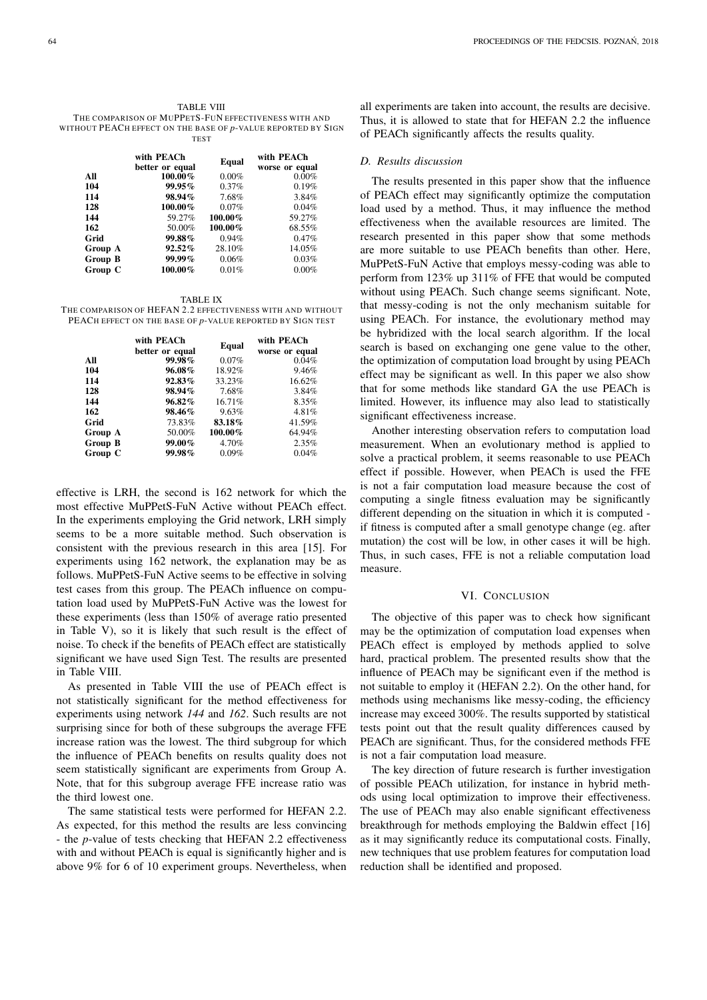|         | with PEACh<br>better or equal | Equal    | with PEACh<br>worse or equal |
|---------|-------------------------------|----------|------------------------------|
| All     | 100.00%                       | $0.00\%$ | $0.00\%$                     |
| 104     | 99.95%                        | $0.37\%$ | 0.19%                        |
| 114     | 98.94%                        | 7.68%    | 3.84%                        |
| 128     | 100.00%                       | 0.07%    | 0.04%                        |
| 144     | 59.27%                        | 100.00%  | 59.27%                       |
| 162     | 50.00%                        | 100.00%  | 68.55%                       |
| Grid    | 99.88%                        | 0.94%    | $0.47\%$                     |
| Group A | 92.52%                        | 28.10%   | 14.05%                       |
| Group B | $99.99\%$                     | 0.06%    | 0.03%                        |
| Group C | 100.00%                       | 0.01%    | $0.00\%$                     |

TABLE IX

THE COMPARISON OF HEFAN 2.2 EFFECTIVENESS WITH AND WITHOUT PEACH EFFECT ON THE BASE OF *p*-VALUE REPORTED BY SIGN TEST

|         | with PEACh<br>better or equal | Equal   | with PEACh<br>worse or equal |
|---------|-------------------------------|---------|------------------------------|
| All     | 99.98%                        | 0.07%   | 0.04%                        |
| 104     | 96.08%                        | 18.92%  | 9.46%                        |
| 114     | 92.83%                        | 33.23%  | 16.62%                       |
| 128     | 98.94%                        | 7.68%   | 3.84%                        |
| 144     | 96.82%                        | 16.71%  | 8.35%                        |
| 162     | 98.46%                        | 9.63%   | 4.81%                        |
| Grid    | 73.83%                        | 83.18%  | 41.59%                       |
| Group A | 50.00%                        | 100.00% | 64.94%                       |
| Group B | 99.00%                        | 4.70%   | 2.35%                        |
| Group C | 99.98%                        | 0.09%   | 0.04%                        |

effective is LRH, the second is 162 network for which the most effective MuPPetS-FuN Active without PEACh effect. In the experiments employing the Grid network, LRH simply seems to be a more suitable method. Such observation is consistent with the previous research in this area [15]. For experiments using 162 network, the explanation may be as follows. MuPPetS-FuN Active seems to be effective in solving test cases from this group. The PEACh influence on computation load used by MuPPetS-FuN Active was the lowest for these experiments (less than 150% of average ratio presented in Table V), so it is likely that such result is the effect of noise. To check if the benefits of PEACh effect are statistically significant we have used Sign Test. The results are presented in Table VIII.

As presented in Table VIII the use of PEACh effect is not statistically significant for the method effectiveness for experiments using network *144* and *162*. Such results are not surprising since for both of these subgroups the average FFE increase ration was the lowest. The third subgroup for which the influence of PEACh benefits on results quality does not seem statistically significant are experiments from Group A. Note, that for this subgroup average FFE increase ratio was the third lowest one.

The same statistical tests were performed for HEFAN 2.2. As expected, for this method the results are less convincing - the *p*-value of tests checking that HEFAN 2.2 effectiveness with and without PEACh is equal is significantly higher and is above 9% for 6 of 10 experiment groups. Nevertheless, when

all experiments are taken into account, the results are decisive. Thus, it is allowed to state that for HEFAN 2.2 the influence of PEACh significantly affects the results quality.

## *D. Results discussion*

The results presented in this paper show that the influence of PEACh effect may significantly optimize the computation load used by a method. Thus, it may influence the method effectiveness when the available resources are limited. The research presented in this paper show that some methods are more suitable to use PEACh benefits than other. Here, MuPPetS-FuN Active that employs messy-coding was able to perform from 123% up 311% of FFE that would be computed without using PEACh. Such change seems significant. Note, that messy-coding is not the only mechanism suitable for using PEACh. For instance, the evolutionary method may be hybridized with the local search algorithm. If the local search is based on exchanging one gene value to the other, the optimization of computation load brought by using PEACh effect may be significant as well. In this paper we also show that for some methods like standard GA the use PEACh is limited. However, its influence may also lead to statistically significant effectiveness increase.

Another interesting observation refers to computation load measurement. When an evolutionary method is applied to solve a practical problem, it seems reasonable to use PEACh effect if possible. However, when PEACh is used the FFE is not a fair computation load measure because the cost of computing a single fitness evaluation may be significantly different depending on the situation in which it is computed if fitness is computed after a small genotype change (eg. after mutation) the cost will be low, in other cases it will be high. Thus, in such cases, FFE is not a reliable computation load measure.

# VI. CONCLUSION

The objective of this paper was to check how significant may be the optimization of computation load expenses when PEACh effect is employed by methods applied to solve hard, practical problem. The presented results show that the influence of PEACh may be significant even if the method is not suitable to employ it (HEFAN 2.2). On the other hand, for methods using mechanisms like messy-coding, the efficiency increase may exceed 300%. The results supported by statistical tests point out that the result quality differences caused by PEACh are significant. Thus, for the considered methods FFE is not a fair computation load measure.

The key direction of future research is further investigation of possible PEACh utilization, for instance in hybrid methods using local optimization to improve their effectiveness. The use of PEACh may also enable significant effectiveness breakthrough for methods employing the Baldwin effect [16] as it may significantly reduce its computational costs. Finally, new techniques that use problem features for computation load reduction shall be identified and proposed.